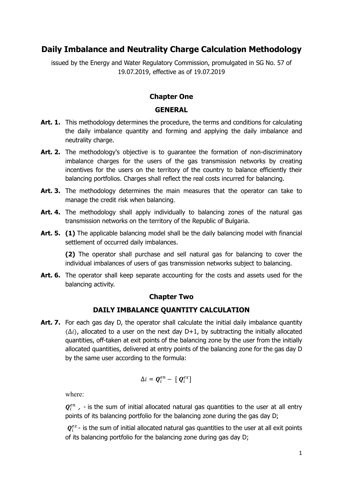# **Daily Imbalance and Neutrality Charge Calculation Methodology**

issued by the Energy and Water Regulatory Commission, promulgated in SG No. 57 of 19.07.2019, effective as of 19.07.2019

#### **Chapter One**

#### **GENERAL**

- Art. 1. This methodology determines the procedure, the terms and conditions for calculating the daily imbalance quantity and forming and applying the daily imbalance and neutrality charge.
- Art. 2. The methodology's objective is to guarantee the formation of non-discriminatory imbalance charges for the users of the gas transmission networks by creating incentives for the users on the territory of the country to balance efficiently their balancing portfolios. Charges shall reflect the real costs incurred for balancing.
- **Art. 3.** The methodology determines the main measures that the operator can take to manage the credit risk when balancing.
- Art. 4. The methodology shall apply individually to balancing zones of the natural gas transmission networks on the territory of the Republic of Bulgaria.
- Art. 5. (1) The applicable balancing model shall be the daily balancing model with financial settlement of occurred daily imbalances.

**(2)** The operator shall purchase and sell natural gas for balancing to cover the individual imbalances of users of gas transmission networks subject to balancing.

**Art. 6.** The operator shall keep separate accounting for the costs and assets used for the balancing activity.

#### **Chapter Two**

#### **DAILY IMBALANCE QUANTITY CALCULATION**

Art. 7. For each gas day D, the operator shall calculate the initial daily imbalance quantity  $(\Delta i)$ , allocated to a user on the next day D+1, by subtracting the initially allocated quantities, off-taken at exit points of the balancing zone by the user from the initially allocated quantities, delivered at entry points of the balancing zone for the gas day D by the same user according to the formula:

$$
\Delta i = \boldsymbol{Q}_i^{en} - [\boldsymbol{Q}_i^{ex}]
$$

where:

 $\mathbf{Q}_i^{en}$  , - is the sum of initial allocated natural gas quantities to the user at all entry points of its balancing portfolio for the balancing zone during the gas day D;

 $\mathbf{Q}_i^{ex}$ - is the sum of initial allocated natural gas quantities to the user at all exit points of its balancing portfolio for the balancing zone during gas day D;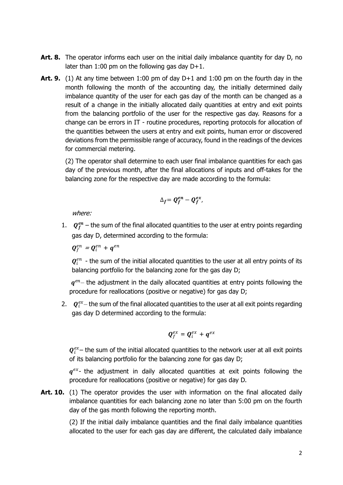- Art. 8. The operator informs each user on the initial daily imbalance quantity for day D, no later than 1:00 pm on the following gas day  $D+1$ .
- **Art. 9.** (1) At any time between 1:00 pm of day D+1 and 1:00 pm on the fourth day in the month following the month of the accounting day, the initially determined daily imbalance quantity of the user for each gas day of the month can be changed as a result of a change in the initially allocated daily quantities at entry and exit points from the balancing portfolio of the user for the respective gas day. Reasons for a change can be errors in IT - routine procedures, reporting protocols for allocation of the quantities between the users at entry and exit points, human error or discovered deviations from the permissible range of accuracy, found in the readings of the devices for commercial metering.

(2) The operator shall determine to each user final imbalance quantities for each gas day of the previous month, after the final allocations of inputs and off-takes for the balancing zone for the respective day are made according to the formula:

$$
\Delta_f = \mathbf{Q}_f^{en} - \mathbf{Q}_f^{ex},
$$

where:

1.  $Q_f^{en}$  – the sum of the final allocated quantities to the user at entry points regarding gas day D, determined according to the formula:

 $\boldsymbol{Q}_f^{en} = \boldsymbol{Q}_i^{en} + \boldsymbol{q}^{en}$ 

 $\mathbf{Q}_i^{en}$  - the sum of the initial allocated quantities to the user at all entry points of its balancing portfolio for the balancing zone for the gas day D;

 $q^{en}$  the adjustment in the daily allocated quantities at entry points following the procedure for reallocations (positive or negative) for gas day D;

2.  $Q_i^{ex}$  the sum of the final allocated quantities to the user at all exit points regarding gas day D determined according to the formula:

$$
\boldsymbol{Q}^{ex}_f = \boldsymbol{Q}^{ex}_i + \boldsymbol{q}^{ex}
$$

 $\mathbf{Q}_i^{ex}$  – the sum of the initial allocated quantities to the network user at all exit points of its balancing portfolio for the balancing zone for gas day D;

 $q^{ex}$ - the adjustment in daily allocated quantities at exit points following the procedure for reallocations (positive or negative) for gas day D.

**Art. 10.** (1) The operator provides the user with information on the final allocated daily imbalance quantities for each balancing zone no later than 5:00 pm on the fourth day of the gas month following the reporting month.

> (2) If the initial daily imbalance quantities and the final daily imbalance quantities allocated to the user for each gas day are different, the calculated daily imbalance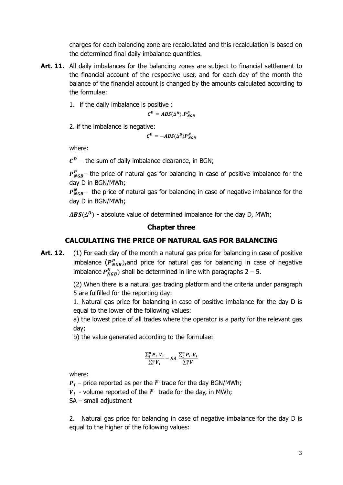charges for each balancing zone are recalculated and this recalculation is based on the determined final daily imbalance quantities.

- Art. 11. All daily imbalances for the balancing zones are subject to financial settlement to the financial account of the respective user, and for each day of the month the balance of the financial account is changed by the amounts calculated according to the formulae:
	- 1. if the daily imbalance is positive :

 $C^D = ABS(\Delta^D). P_{NGB}^P$ 

2. if the imbalance is negative:

 $C^D = -ABS(\Delta^D)P_{NGB}^N$ 

where:

 $\mathcal{C}^D$  – the sum of daily imbalance clearance, in BGN;

 $P_{NGB}^{P}$  the price of natural gas for balancing in case of positive imbalance for the day D in BGN/MWh;

 $P_{NGB}^N$  the price of natural gas for balancing in case of negative imbalance for the day D in BGN/MWh;

 $ABS(\Delta^D)$  - absolute value of determined imbalance for the day D, MWh;

### **Chapter three**

### **CALCULATING THE PRICE OF NATURAL GAS FOR BALANCING**

Art. 12. (1) For each day of the month a natural gas price for balancing in case of positive imbalance  $(P_{NGB}^P)$ , and price for natural gas for balancing in case of negative imbalance  $P_{NGB}^N$ ) shall be determined in line with paragraphs 2 – 5.

> (2) When there is a natural gas trading platform and the criteria under paragraph 5 are fulfilled for the reporting day:

> 1. Natural gas price for balancing in case of positive imbalance for the day D is equal to the lower of the following values:

> а) the lowest price of all trades where the operator is a party for the relevant gas day;

b) the value generated according to the formulae:

$$
\frac{\sum_{i}^{n} P_{i \cdot} V_{i}}{\sum_{i}^{n} V_{i}} - SA. \frac{\sum_{i}^{n} P_{i \cdot} V_{i}}{\sum_{i}^{n} V}
$$

where:

 $\boldsymbol{P}_i$  – price reported as per the i<sup>th</sup> trade for the day BGN/MWh;

 $V_i$  - volume reported of the i<sup>th</sup> trade for the day, in MWh;

SA – small adjustment

2. Natural gas price for balancing in case of negative imbalance for the day D is equal to the higher of the following values: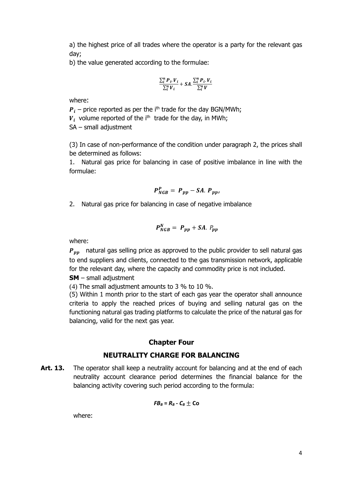а) the highest price of all trades where the operator is a party for the relevant gas day;

b) the value generated according to the formulae:

$$
\frac{\sum_i^n P_i.V_i}{\sum_i^n V_i} + SA.\frac{\sum_i^n P_i.V_i}{\sum_i^n V}
$$

where:

 $\boldsymbol{P}_i$  – price reported as per the i<sup>th</sup> trade for the day BGN/MWh;

 $V_i$  volume reported of the i<sup>th</sup> trade for the day, in MWh;

SA – small adjustment

(3) In case of non-performance of the condition under paragraph 2, the prices shall be determined as follows:

1. Natural gas price for balancing in case of positive imbalance in line with the formulae:

$$
P_{NGB}^P = P_{pp} - SA. P_{pp},
$$

2. Natural gas price for balancing in case of negative imbalance

$$
P_{NGB}^N = P_{pp} + SA. P_{pp}
$$

where:

 $P_{nn}$  natural gas selling price as approved to the public provider to sell natural gas to end suppliers and clients, connected to the gas transmission network, applicable for the relevant day, where the capacity and commodity price is not included.

**SM** – small adjustment

(4) The small adjustment amounts to 3 % to 10 %.

(5) Within 1 month prior to the start of each gas year the operator shall announce criteria to apply the reached prices of buying and selling natural gas on the functioning natural gas trading platforms to calculate the price of the natural gas for balancing, valid for the next gas year.

#### **Chapter Four**

#### **NEUTRALITY CHARGE FOR BALANCING**

Art. 13. The operator shall keep a neutrality account for balancing and at the end of each neutrality account clearance period determines the financial balance for the balancing activity covering such period according to the formula:

$$
FB_B = R_B - C_B \pm \text{Co}
$$

where: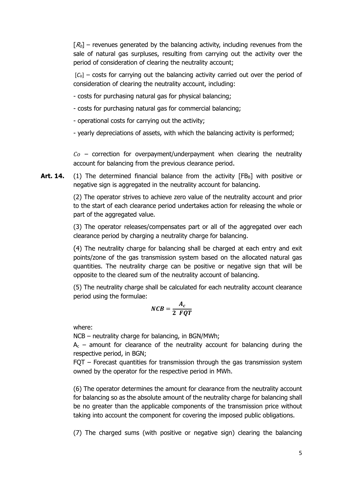$[R_b]$  – revenues generated by the balancing activity, including revenues from the sale of natural gas surpluses, resulting from carrying out the activity over the period of consideration of clearing the neutrality account;

 $[C_b]$  – costs for carrying out the balancing activity carried out over the period of consideration of clearing the neutrality account, including:

- costs for purchasing natural gas for physical balancing;
- costs for purchasing natural gas for commercial balancing;

- operational costs for carrying out the activity;

- yearly depreciations of assets, with which the balancing activity is performed;

 $Co$  – correction for overpayment/underpayment when clearing the neutrality account for balancing from the previous clearance period.

**Art. 14.** (1) The determined financial balance from the activity [FB<sub>B</sub>] with positive or negative sign is aggregated in the neutrality account for balancing.

> (2) The operator strives to achieve zero value of the neutrality account and prior to the start of each clearance period undertakes action for releasing the whole or part of the aggregated value.

> (3) The operator releases/compensates part or all of the aggregated over each clearance period by charging a neutrality charge for balancing.

> (4) The neutrality charge for balancing shall be charged at each entry and exit points/zone of the gas transmission system based on the allocated natural gas quantities. The neutrality charge can be positive or negative sign that will be opposite to the cleared sum of the neutrality account of balancing.

> (5) The neutrality charge shall be calculated for each neutrality account clearance period using the formulae:

$$
NCB = \frac{A_c}{2 \; FQT}
$$

where:

NCB – neutrality charge for balancing, in BGN/MWh;

 $A<sub>c</sub>$  – amount for clearance of the neutrality account for balancing during the respective period, in BGN;

FQT – Forecast quantities for transmission through the gas transmission system owned by the operator for the respective period in MWh.

(6) The operator determines the amount for clearance from the neutrality account for balancing so as the absolute amount of the neutrality charge for balancing shall be no greater than the applicable components of the transmission price without taking into account the component for covering the imposed public obligations.

(7) The charged sums (with positive or negative sign) clearing the balancing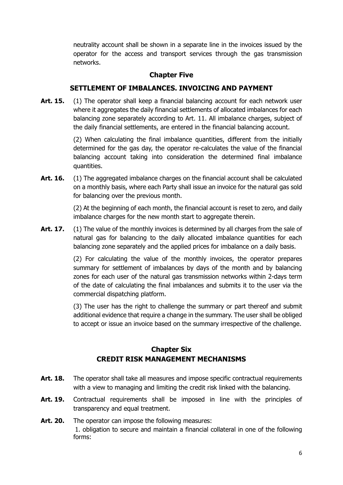neutrality account shall be shown in a separate line in the invoices issued by the operator for the access and transport services through the gas transmission networks.

### **Chapter Five**

### **SETTLEMENT OF IMBALANCES. INVOICING AND PAYMENT**

**Art. 15.** (1) The operator shall keep a financial balancing account for each network user where it aggregates the daily financial settlements of allocated imbalances for each balancing zone separately according to Art. 11. All imbalance charges, subject of the daily financial settlements, are entered in the financial balancing account.

> (2) When calculating the final imbalance quantities, different from the initially determined for the gas day, the operator re-calculates the value of the financial balancing account taking into consideration the determined final imbalance quantities.

Art. 16. (1) The aggregated imbalance charges on the financial account shall be calculated on a monthly basis, where each Party shall issue an invoice for the natural gas sold for balancing over the previous month.

> (2) At the beginning of each month, the financial account is reset to zero, and daily imbalance charges for the new month start to aggregate therein.

**Art. 17.** (1) The value of the monthly invoices is determined by all charges from the sale of natural gas for balancing to the daily allocated imbalance quantities for each balancing zone separately and the applied prices for imbalance on a daily basis.

> (2) For calculating the value of the monthly invoices, the operator prepares summary for settlement of imbalances by days of the month and by balancing zones for each user of the natural gas transmission networks within 2-days term of the date of calculating the final imbalances and submits it to the user via the commercial dispatching platform.

> (3) The user has the right to challenge the summary or part thereof and submit additional evidence that require a change in the summary. The user shall be obliged to accept or issue an invoice based on the summary irrespective of the challenge.

# **Chapter Six CREDIT RISK MANAGEMENT MECHANISMS**

- Art. 18. The operator shall take all measures and impose specific contractual requirements with a view to managing and limiting the credit risk linked with the balancing.
- **Art. 19.** Contractual requirements shall be imposed in line with the principles of transparency and equal treatment.
- **Art. 20.** The operator can impose the following measures: 1. obligation to secure and maintain a financial collateral in one of the following forms: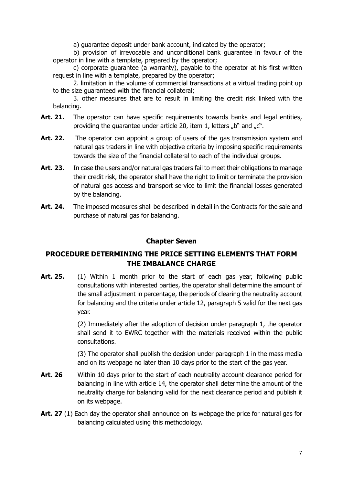a) guarantee deposit under bank account, indicated by the operator;

b) provision of irrevocable and unconditional bank guarantee in favour of the operator in line with a template, prepared by the operator;

c) corporate guarantee (a warranty), payable to the operator at his first written request in line with a template, prepared by the operator;

2. limitation in the volume of commercial transactions at a virtual trading point up to the size guaranteed with the financial collateral;

3. other measures that are to result in limiting the credit risk linked with the balancing.

- **Art. 21.** The operator can have specific requirements towards banks and legal entities, providing the quarantee under article 20, item 1, letters  $n b$ " and  $n c$ ".
- Art. 22. The operator can appoint a group of users of the gas transmission system and natural gas traders in line with objective criteria by imposing specific requirements towards the size of the financial collateral to each of the individual groups.
- **Art. 23.** In case the users and/or natural gas traders fail to meet their obligations to manage their credit risk, the operator shall have the right to limit or terminate the provision of natural gas access and transport service to limit the financial losses generated by the balancing.
- Art. 24. The imposed measures shall be described in detail in the Contracts for the sale and purchase of natural gas for balancing.

#### **Chapter Seven**

# **PROCEDURE DETERMINING THE PRICE SETTING ELEMENTS THAT FORM THE IMBALANCE CHARGE**

**Art. 25.** (1) Within 1 month prior to the start of each gas year, following public consultations with interested parties, the operator shall determine the amount of the small adjustment in percentage, the periods of clearing the neutrality account for balancing and the criteria under article 12, paragraph 5 valid for the next gas year.

> (2) Immediately after the adoption of decision under paragraph 1, the operator shall send it to EWRC together with the materials received within the public consultations.

> (3) The operator shall publish the decision under paragraph 1 in the mass media and on its webpage no later than 10 days prior to the start of the gas year.

- Art. 26 Within 10 days prior to the start of each neutrality account clearance period for balancing in line with article 14, the operator shall determine the amount of the neutrality charge for balancing valid for the next clearance period and publish it on its webpage.
- **Art. 27** (1) Each day the operator shall announce on its webpage the price for natural gas for balancing calculated using this methodology.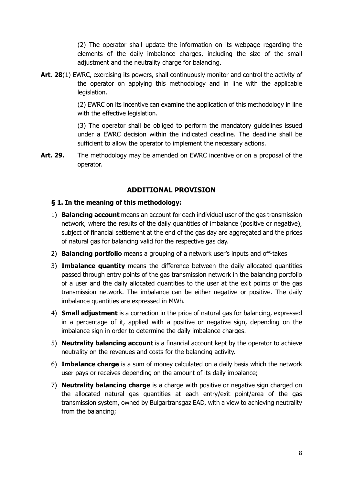(2) The operator shall update the information on its webpage regarding the elements of the daily imbalance charges, including the size of the small adjustment and the neutrality charge for balancing.

Art. 28(1) EWRC, exercising its powers, shall continuously monitor and control the activity of the operator on applying this methodology and in line with the applicable legislation.

> (2) EWRC on its incentive can examine the application of this methodology in line with the effective legislation.

> (3) The operator shall be obliged to perform the mandatory guidelines issued under a EWRC decision within the indicated deadline. The deadline shall be sufficient to allow the operator to implement the necessary actions.

**Art. 29.** The methodology may be amended on EWRC incentive or on a proposal of the operator.

### **ADDITIONAL PROVISION**

#### **§ 1. In the meaning of this methodology:**

- 1) **Balancing account** means an account for each individual user of the gas transmission network, where the results of the daily quantities of imbalance (positive or negative), subject of financial settlement at the end of the gas day are aggregated and the prices of natural gas for balancing valid for the respective gas day.
- 2) **Balancing portfolio** means a grouping of a network user's inputs and off-takes
- 3) **Imbalance quantity** means the difference between the daily allocated quantities passed through entry points of the gas transmission network in the balancing portfolio of a user and the daily allocated quantities to the user at the exit points of the gas transmission network. The imbalance can be either negative or positive. The daily imbalance quantities are expressed in MWh.
- 4) **Small adjustment** is a correction in the price of natural gas for balancing, expressed in a percentage of it, applied with a positive or negative sign, depending on the imbalance sign in order to determine the daily imbalance charges.
- 5) **Neutrality balancing account** is a financial account kept by the operator to achieve neutrality on the revenues and costs for the balancing activity.
- 6) **Imbalance charge** is a sum of money calculated on a daily basis which the network user pays or receives depending on the amount of its daily imbalance;
- 7) **Neutrality balancing charge** is a charge with positive or negative sign charged on the allocated natural gas quantities at each entry/exit point/area of the gas transmission system, owned by Bulgartransgaz EAD, with a view to achieving neutrality from the balancing;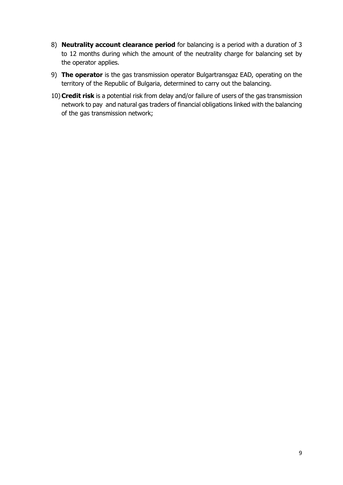- 8) **Neutrality account clearance period** for balancing is a period with a duration of 3 to 12 months during which the amount of the neutrality charge for balancing set by the operator applies.
- 9) **The operator** is the gas transmission operator Bulgartransgaz EAD, operating on the territory of the Republic of Bulgaria, determined to carry out the balancing.
- 10)**Credit risk** is a potential risk from delay and/or failure of users of the gas transmission network to pay and natural gas traders of financial obligations linked with the balancing of the gas transmission network;